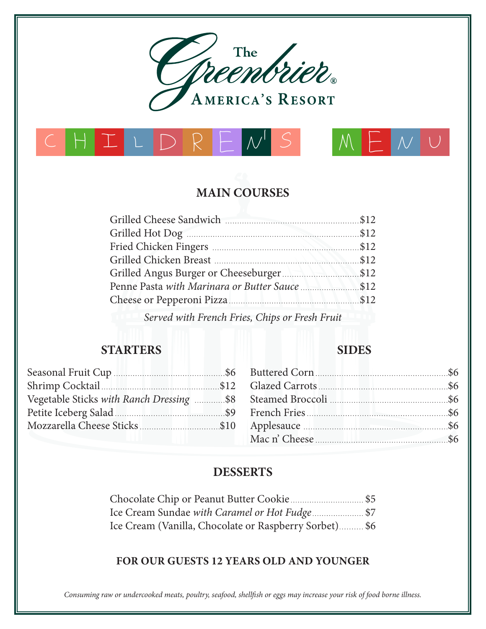





# **MAIN COURSES**

*Served with French Fries, Chips or Fresh Fruit*

#### **STARTERS**

## **SIDES**

. . . . . . . . . . . . . . . . . . . \$6 . . . . . . . . . . . . . . . . . \$6 . . . . . . . . . . . . . . . \$6 . . . . . . . . . . . . . . . . . . \$6 . . . . . . . . . . . . . . . . . . . \$6 . . . . . . . . . . . . . . . . . . \$6

| Vegetable Sticks with Ranch Dressing \$8 Steamed Broccoli |  |
|-----------------------------------------------------------|--|
|                                                           |  |
|                                                           |  |
|                                                           |  |

## **DESSERTS**

Chocolate Chip or Peanut Butter Cookie \$5 Ice Cream Sundae *with Caramel or Hot Fudge* \$7 Ice Cream (Vanilla, Chocolate or Raspberry Sorbet) \$6

#### **FOR OUR GUESTS 12 YEARS OLD AND YOUNGER**

*Consuming raw or undercooked meats, poultry, seafood, shellfish or eggs may increase your risk of food borne illness.*